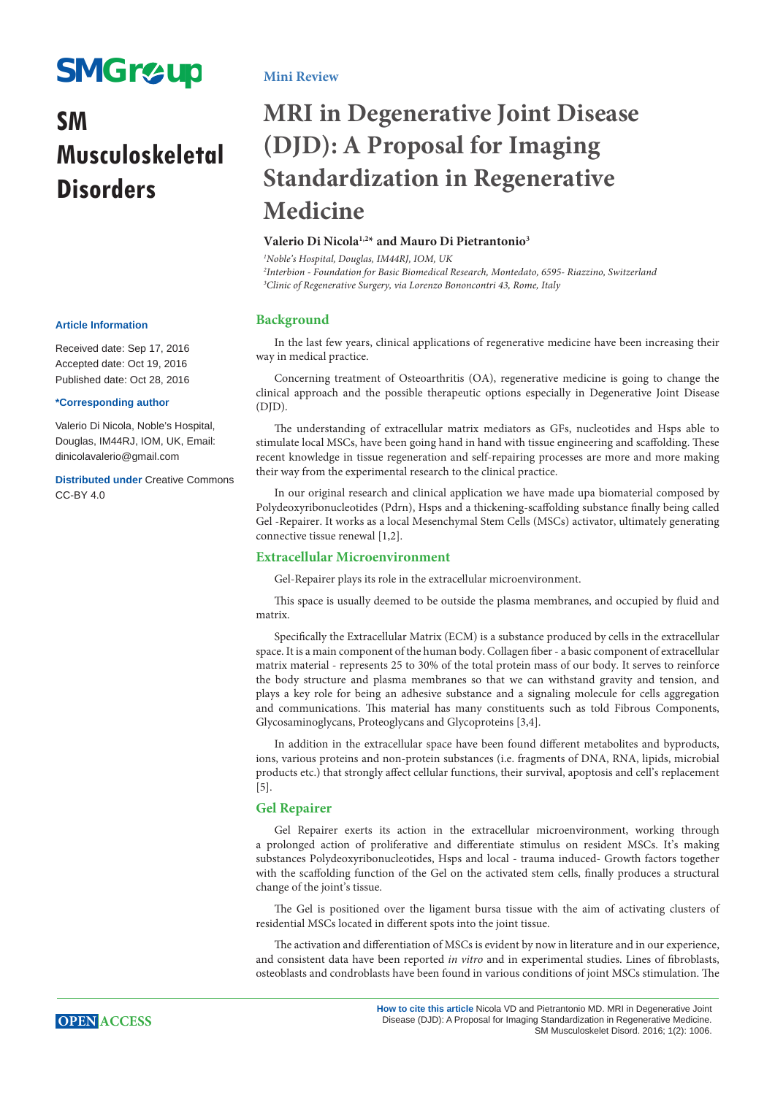# **SMGr&up**

## **SM Musculoskeletal Disorders**

#### **Article Information**

Received date: Sep 17, 2016 Accepted date: Oct 19, 2016 Published date: Oct 28, 2016

#### **\*Corresponding author**

Valerio Di Nicola, Noble's Hospital, Douglas, IM44RJ, IOM, UK, Email: dinicolavalerio@gmail.com

**Distributed under** [Creative Commons](https://creativecommons.org/licenses/by/4.0/)  [CC-BY 4.0](https://creativecommons.org/licenses/by/4.0/)

### **Mini Review**

## **MRI in Degenerative Joint Disease (DJD): A Proposal for Imaging Standardization in Regenerative Medicine**

### **Valerio Di Nicola1,2\* and Mauro Di Pietrantonio3**

*1 Noble's Hospital, Douglas, IM44RJ, IOM, UK 2 Interbion - Foundation for Basic Biomedical Research, Montedato, 6595- Riazzino, Switzerland 3 Clinic of Regenerative Surgery, via Lorenzo Bononcontri 43, Rome, Italy*

#### **Background**

In the last few years, clinical applications of regenerative medicine have been increasing their way in medical practice.

Concerning treatment of Osteoarthritis (OA), regenerative medicine is going to change the clinical approach and the possible therapeutic options especially in Degenerative Joint Disease  $(DID)$ .

The understanding of extracellular matrix mediators as GFs, nucleotides and Hsps able to stimulate local MSCs, have been going hand in hand with tissue engineering and scaffolding. These recent knowledge in tissue regeneration and self-repairing processes are more and more making their way from the experimental research to the clinical practice.

In our original research and clinical application we have made upa biomaterial composed by Polydeoxyribonucleotides (Pdrn), Hsps and a thickening-scaffolding substance finally being called Gel -Repairer. It works as a local Mesenchymal Stem Cells (MSCs) activator, ultimately generating connective tissue renewal [1,2].

#### **Extracellular Microenvironment**

Gel-Repairer plays its role in the extracellular microenvironment.

This space is usually deemed to be outside the plasma membranes, and occupied by fluid and matrix.

Specifically the Extracellular Matrix (ECM) is a substance produced by cells in the extracellular space. It is a main component of the human body. Collagen fiber - a basic component of extracellular matrix material - represents 25 to 30% of the total protein mass of our body. It serves to reinforce the body structure and plasma membranes so that we can withstand gravity and tension, and plays a key role for being an adhesive substance and a signaling molecule for cells aggregation and communications. This material has many constituents such as told Fibrous Components, Glycosaminoglycans, Proteoglycans and Glycoproteins [3,4].

In addition in the extracellular space have been found different metabolites and byproducts, ions, various proteins and non-protein substances (i.e. fragments of DNA, RNA, lipids, microbial products etc.) that strongly affect cellular functions, their survival, apoptosis and cell's replacement [5].

#### **Gel Repairer**

Gel Repairer exerts its action in the extracellular microenvironment, working through a prolonged action of proliferative and differentiate stimulus on resident MSCs. It's making substances Polydeoxyribonucleotides, Hsps and local - trauma induced- Growth factors together with the scaffolding function of the Gel on the activated stem cells, finally produces a structural change of the joint's tissue.

The Gel is positioned over the ligament bursa tissue with the aim of activating clusters of residential MSCs located in different spots into the joint tissue.

The activation and differentiation of MSCs is evident by now in literature and in our experience, and consistent data have been reported *in vitro* and in experimental studies. Lines of fibroblasts, osteoblasts and condroblasts have been found in various conditions of joint MSCs stimulation. The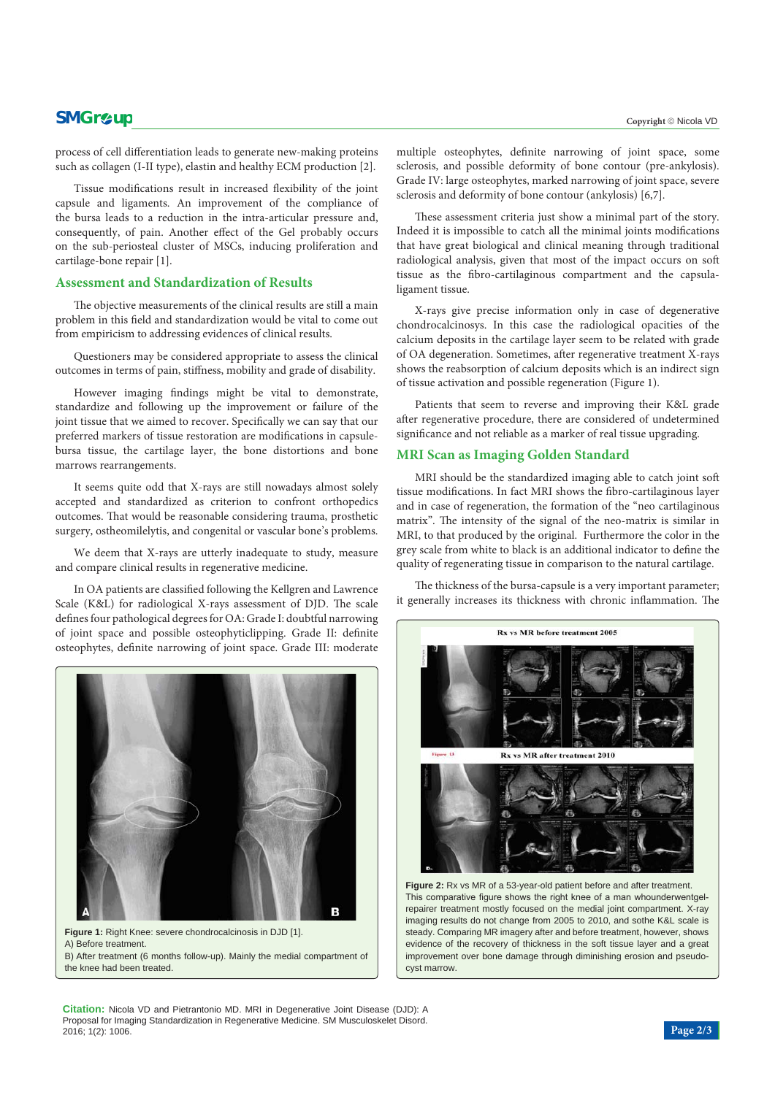## **SMGr** $\mathcal{L}$ **up** copyright © Nicola VD

process of cell differentiation leads to generate new-making proteins such as collagen (I-II type), elastin and healthy ECM production [2].

Tissue modifications result in increased flexibility of the joint capsule and ligaments. An improvement of the compliance of the bursa leads to a reduction in the intra-articular pressure and, consequently, of pain. Another effect of the Gel probably occurs on the sub-periosteal cluster of MSCs, inducing proliferation and cartilage-bone repair [1].

#### **Assessment and Standardization of Results**

The objective measurements of the clinical results are still a main problem in this field and standardization would be vital to come out from empiricism to addressing evidences of clinical results.

Questioners may be considered appropriate to assess the clinical outcomes in terms of pain, stiffness, mobility and grade of disability.

However imaging findings might be vital to demonstrate, standardize and following up the improvement or failure of the joint tissue that we aimed to recover. Specifically we can say that our preferred markers of tissue restoration are modifications in capsulebursa tissue, the cartilage layer, the bone distortions and bone marrows rearrangements.

It seems quite odd that X-rays are still nowadays almost solely accepted and standardized as criterion to confront orthopedics outcomes. That would be reasonable considering trauma, prosthetic surgery, ostheomilelytis, and congenital or vascular bone's problems.

We deem that X-rays are utterly inadequate to study, measure and compare clinical results in regenerative medicine.

In OA patients are classified following the Kellgren and Lawrence Scale (K&L) for radiological X-rays assessment of DJD. The scale defines four pathological degrees for OA: Grade I: doubtful narrowing of joint space and possible osteophyticlipping. Grade II: definite osteophytes, definite narrowing of joint space. Grade III: moderate



**Figure 1:** Right Knee: severe chondrocalcinosis in DJD [1]. A) Before treatment. B) After treatment (6 months follow-up). Mainly the medial compartment of the knee had been treated.

multiple osteophytes, definite narrowing of joint space, some sclerosis, and possible deformity of bone contour (pre-ankylosis). Grade IV: large osteophytes, marked narrowing of joint space, severe sclerosis and deformity of bone contour (ankylosis) [6,7].

These assessment criteria just show a minimal part of the story. Indeed it is impossible to catch all the minimal joints modifications that have great biological and clinical meaning through traditional radiological analysis, given that most of the impact occurs on soft tissue as the fibro-cartilaginous compartment and the capsulaligament tissue.

X-rays give precise information only in case of degenerative chondrocalcinosys. In this case the radiological opacities of the calcium deposits in the cartilage layer seem to be related with grade of OA degeneration. Sometimes, after regenerative treatment X-rays shows the reabsorption of calcium deposits which is an indirect sign of tissue activation and possible regeneration (Figure 1).

Patients that seem to reverse and improving their K&L grade after regenerative procedure, there are considered of undetermined significance and not reliable as a marker of real tissue upgrading.

#### **MRI Scan as Imaging Golden Standard**

MRI should be the standardized imaging able to catch joint soft tissue modifications. In fact MRI shows the fibro-cartilaginous layer and in case of regeneration, the formation of the "neo cartilaginous matrix". The intensity of the signal of the neo-matrix is similar in MRI, to that produced by the original. Furthermore the color in the grey scale from white to black is an additional indicator to define the quality of regenerating tissue in comparison to the natural cartilage.

The thickness of the bursa-capsule is a very important parameter; it generally increases its thickness with chronic inflammation. The



This comparative figure shows the right knee of a man whounderwentgelrepairer treatment mostly focused on the medial joint compartment. X-ray imaging results do not change from 2005 to 2010, and sothe K&L scale is steady. Comparing MR imagery after and before treatment, however, shows evidence of the recovery of thickness in the soft tissue layer and a great improvement over bone damage through diminishing erosion and pseudocyst marrow.